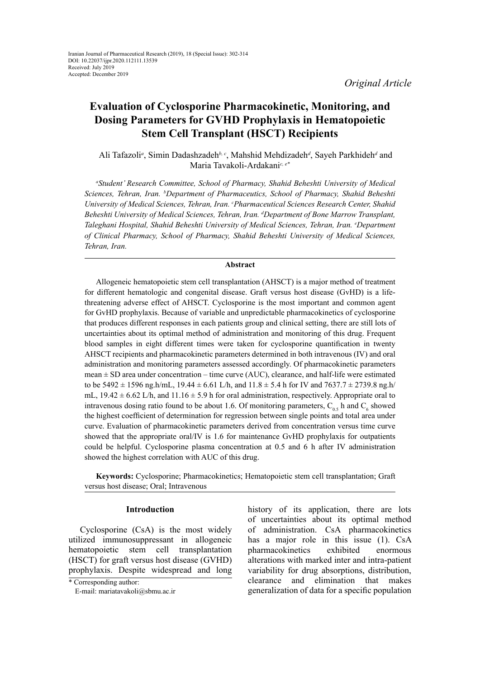# **Evaluation of Cyclosporine Pharmacokinetic, Monitoring, and Dosing Parameters for GVHD Prophylaxis in Hematopoietic Stem Cell Transplant (HSCT) Recipients**

Ali Tafazoli<sup>a</sup>, Simin Dadashzadeh<sup>b, c</sup>, Mahshid Mehdizadeh<sup>d</sup>, Sayeh Parkhideh<sup>d</sup> and Maria Tavakoli-Ardakani*c, e\**

*a Student' Research Committee, School of Pharmacy, Shahid Beheshti University of Medical Sciences, Tehran, Iran. b Department of Pharmaceutics, School of Pharmacy, Shahid Beheshti*  University of Medical Sciences, Tehran, Iran. <sup>c</sup>Pharmaceutical Sciences Research Center, Shahid *Beheshti University of Medical Sciences, Tehran, Iran. d Department of Bone Marrow Transplant, Taleghani Hospital, Shahid Beheshti University of Medical Sciences, Tehran, Iran. e Department of Clinical Pharmacy, School of Pharmacy, Shahid Beheshti University of Medical Sciences, Tehran, Iran.*

## **Abstract**

Allogeneic hematopoietic stem cell transplantation (AHSCT) is a major method of treatment for different hematologic and congenital disease. Graft versus host disease (GvHD) is a lifethreatening adverse effect of AHSCT. Cyclosporine is the most important and common agent for GvHD prophylaxis. Because of variable and unpredictable pharmacokinetics of cyclosporine that produces different responses in each patients group and clinical setting, there are still lots of uncertainties about its optimal method of administration and monitoring of this drug. Frequent blood samples in eight different times were taken for cyclosporine quantification in twenty AHSCT recipients and pharmacokinetic parameters determined in both intravenous (IV) and oral administration and monitoring parameters assessed accordingly. Of pharmacokinetic parameters mean  $\pm$  SD area under concentration – time curve (AUC), clearance, and half-life were estimated to be  $5492 \pm 1596$  ng.h/mL,  $19.44 \pm 6.61$  L/h, and  $11.8 \pm 5.4$  h for IV and  $7637.7 \pm 2739.8$  ng.h/ mL,  $19.42 \pm 6.62$  L/h, and  $11.16 \pm 5.9$  h for oral administration, respectively. Appropriate oral to intravenous dosing ratio found to be about 1.6. Of monitoring parameters,  $C_{0.5}$  h and  $C_6$  showed the highest coefficient of determination for regression between single points and total area under curve. Evaluation of pharmacokinetic parameters derived from concentration versus time curve showed that the appropriate oral/IV is 1.6 for maintenance GvHD prophylaxis for outpatients could be helpful. Cyclosporine plasma concentration at 0.5 and 6 h after IV administration showed the highest correlation with AUC of this drug.

**Keywords:** Cyclosporine; Pharmacokinetics; Hematopoietic stem cell transplantation; Graft versus host disease; Oral; Intravenous

# **Introduction**

Cyclosporine (CsA) is the most widely utilized immunosuppressant in allogeneic hematopoietic stem cell transplantation (HSCT) for graft versus host disease (GVHD) prophylaxis. Despite widespread and long history of its application, there are lots of uncertainties about its optimal method of administration. CsA pharmacokinetics has a major role in this issue (1). CsA pharmacokinetics exhibited enormous alterations with marked inter and intra-patient variability for drug absorptions, distribution, clearance and elimination that makes generalization of data for a specific population

<sup>\*</sup> Corresponding author:

E-mail: mariatavakoli@sbmu.ac.ir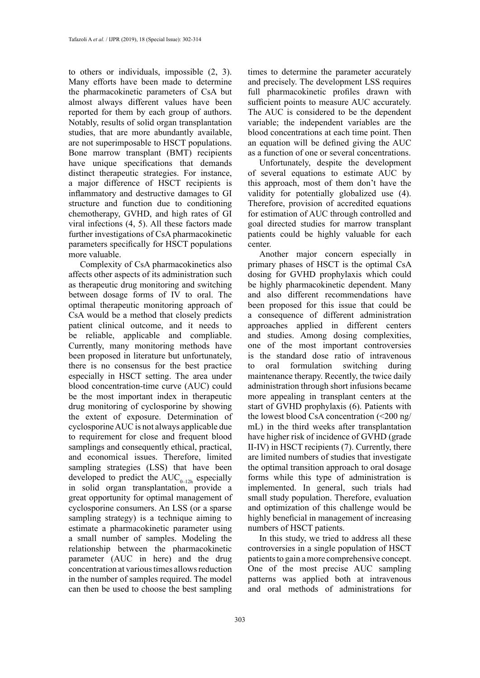to others or individuals, impossible (2, 3). Many efforts have been made to determine the pharmacokinetic parameters of CsA but almost always different values have been reported for them by each group of authors. Notably, results of solid organ transplantation studies, that are more abundantly available, are not superimposable to HSCT populations. Bone marrow transplant (BMT) recipients have unique specifications that demands distinct therapeutic strategies. For instance, a major difference of HSCT recipients is inflammatory and destructive damages to GI structure and function due to conditioning chemotherapy, GVHD, and high rates of GI viral infections (4, 5). All these factors made further investigations of CsA pharmacokinetic parameters specifically for HSCT populations more valuable.

Complexity of CsA pharmacokinetics also affects other aspects of its administration such as therapeutic drug monitoring and switching between dosage forms of IV to oral. The optimal therapeutic monitoring approach of CsA would be a method that closely predicts patient clinical outcome, and it needs to be reliable, applicable and compliable. Currently, many monitoring methods have been proposed in literature but unfortunately, there is no consensus for the best practice especially in HSCT setting. The area under blood concentration-time curve (AUC) could be the most important index in therapeutic drug monitoring of cyclosporine by showing the extent of exposure. Determination of cyclosporine AUC is not always applicable due to requirement for close and frequent blood samplings and consequently ethical, practical, and economical issues. Therefore, limited sampling strategies (LSS) that have been developed to predict the  $AUC_{0-12h}$  especially in solid organ transplantation, provide a great opportunity for optimal management of cyclosporine consumers. An LSS (or a sparse sampling strategy) is a technique aiming to estimate a pharmacokinetic parameter using a small number of samples. Modeling the relationship between the pharmacokinetic parameter (AUC in here) and the drug concentration at various times allows reduction in the number of samples required. The model can then be used to choose the best sampling

times to determine the parameter accurately and precisely. The development LSS requires full pharmacokinetic profiles drawn with sufficient points to measure AUC accurately. The AUC is considered to be the dependent variable; the independent variables are the blood concentrations at each time point. Then an equation will be defined giving the AUC as a function of one or several concentrations.

Unfortunately, despite the development of several equations to estimate AUC by this approach, most of them don't have the validity for potentially globalized use (4). Therefore, provision of accredited equations for estimation of AUC through controlled and goal directed studies for marrow transplant patients could be highly valuable for each center.

Another major concern especially in primary phases of HSCT is the optimal CsA dosing for GVHD prophylaxis which could be highly pharmacokinetic dependent. Many and also different recommendations have been proposed for this issue that could be a consequence of different administration approaches applied in different centers and studies. Among dosing complexities, one of the most important controversies is the standard dose ratio of intravenous to oral formulation switching during maintenance therapy. Recently, the twice daily administration through short infusions became more appealing in transplant centers at the start of GVHD prophylaxis (6). Patients with the lowest blood CsA concentration (<200 ng/ mL) in the third weeks after transplantation have higher risk of incidence of GVHD (grade II-IV) in HSCT recipients (7). Currently, there are limited numbers of studies that investigate the optimal transition approach to oral dosage forms while this type of administration is implemented. In general, such trials had small study population. Therefore, evaluation and optimization of this challenge would be highly beneficial in management of increasing numbers of HSCT patients.

In this study, we tried to address all these controversies in a single population of HSCT patients to gain a more comprehensive concept. One of the most precise AUC sampling patterns was applied both at intravenous and oral methods of administrations for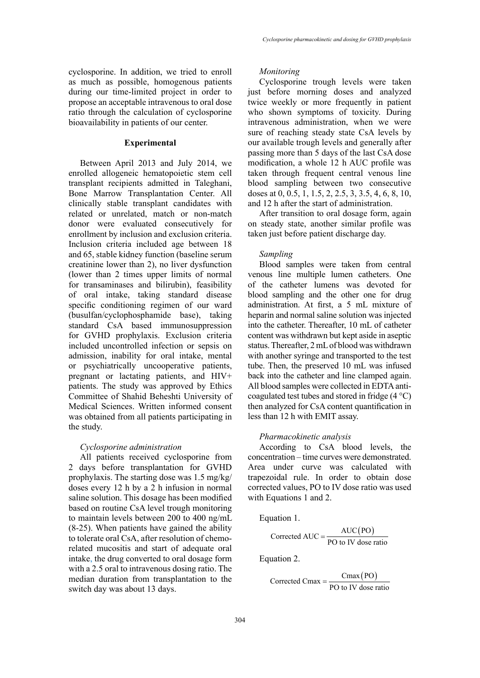cyclosporine. In addition, we tried to enroll as much as possible, homogenous patients during our time-limited project in order to propose an acceptable intravenous to oral dose ratio through the calculation of cyclosporine bioavailability in patients of our center.

# **Experimental**

Between April 2013 and July 2014, we enrolled allogeneic hematopoietic stem cell transplant recipients admitted in Taleghani, Bone Marrow Transplantation Center. All clinically stable transplant candidates with related or unrelated, match or non-match donor were evaluated consecutively for enrollment by inclusion and exclusion criteria. Inclusion criteria included age between 18 and 65, stable kidney function (baseline serum creatinine lower than 2), no liver dysfunction (lower than 2 times upper limits of normal for transaminases and bilirubin), feasibility of oral intake, taking standard disease specific conditioning regimen of our ward (busulfan/cyclophosphamide base), taking standard CsA based immunosuppression for GVHD prophylaxis. Exclusion criteria included uncontrolled infection or sepsis on admission, inability for oral intake, mental or psychiatrically uncooperative patients, pregnant or lactating patients, and HIV+ patients. The study was approved by Ethics Committee of Shahid Beheshti University of Medical Sciences. Written informed consent was obtained from all patients participating in the study.

## *Cyclosporine administration*

All patients received cyclosporine from 2 days before transplantation for GVHD prophylaxis. The starting dose was 1.5 mg/kg/ doses every 12 h by a 2 h infusion in normal saline solution. This dosage has been modified based on routine CsA level trough monitoring to maintain levels between 200 to 400 ng/mL (8-25). When patients have gained the ability to tolerate oral CsA, after resolution of chemorelated mucositis and start of adequate oral intake, the drug converted to oral dosage form with a 2.5 oral to intravenous dosing ratio. The median duration from transplantation to the switch day was about 13 days.

## *Monitoring*

Cyclosporine trough levels were taken just before morning doses and analyzed twice weekly or more frequently in patient who shown symptoms of toxicity. During intravenous administration, when we were sure of reaching steady state CsA levels by our available trough levels and generally after passing more than 5 days of the last CsA dose modification, a whole 12 h AUC profile was taken through frequent central venous line blood sampling between two consecutive doses at 0, 0.5, 1, 1.5, 2, 2.5, 3, 3.5, 4, 6, 8, 10, and 12 h after the start of administration.

After transition to oral dosage form, again on steady state, another similar profile was taken just before patient discharge day.

### *Sampling*

Blood samples were taken from central venous line multiple lumen catheters. One of the catheter lumens was devoted for blood sampling and the other one for drug administration. At first, a 5 mL mixture of heparin and normal saline solution was injected into the catheter. Thereafter, 10 mL of catheter content was withdrawn but kept aside in aseptic status. Thereafter, 2 mL of blood was withdrawn with another syringe and transported to the test tube. Then, the preserved 10 mL was infused back into the catheter and line clamped again. All blood samples were collected in EDTA anticoagulated test tubes and stored in fridge (4 °C) then analyzed for CsA content quantification in less than 12 h with EMIT assay.

# *Pharmacokinetic analysis*

According to CsA blood levels, the concentration – time curves were demonstrated. Area under curve was calculated with trapezoidal rule. In order to obtain dose corrected values, PO to IV dose ratio was used with Equations 1 and 2.

Equation 1.

$$
Corrected AUC = \frac{AUC(PO)}{PO \text{ to } IV \text{ dose ratio}}
$$

Equation 2.

Corrected Cmax =  $\frac{Cmax(PO)}{PO$  to IV dose ratio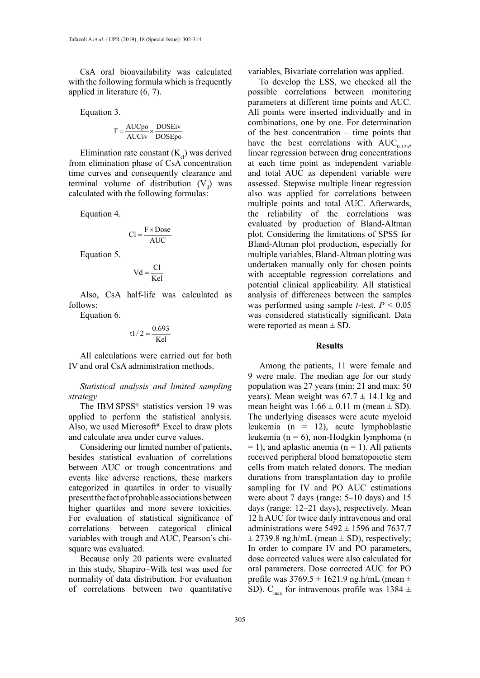CsA oral bioavailability was calculated with the following formula which is frequently applied in literature (6, 7).

Equation 3.

$$
F = \frac{AUCpo}{AUCiv} \times \frac{DOSEiv}{DOSEpo}
$$

Elimination rate constant  $(K_{el})$  was derived from elimination phase of CsA concentration time curves and consequently clearance and terminal volume of distribution  $(V_d)$  was calculated with the following formulas:

Equation 4.

$$
Cl = \frac{F \times \text{Dose}}{\text{AUC}}
$$

Equation 5.

$$
Vd = \frac{Cl}{Kel}
$$

Also, CsA half-life was calculated as follows:

Equation 6.

$$
t1/2 = \frac{0.693}{Kel}
$$

All calculations were carried out for both IV and oral CsA administration methods.

*Statistical analysis and limited sampling strategy* 

The IBM SPSS® statistics version 19 was applied to perform the statistical analysis. Also, we used Microsoft® Excel to draw plots and calculate area under curve values.

Considering our limited number of patients, besides statistical evaluation of correlations between AUC or trough concentrations and events like adverse reactions, these markers categorized in quartiles in order to visually present the fact of probable associations between higher quartiles and more severe toxicities. For evaluation of statistical significance of correlations between categorical clinical variables with trough and AUC, Pearson's chisquare was evaluated.

Because only 20 patients were evaluated in this study, Shapiro–Wilk test was used for normality of data distribution. For evaluation of correlations between two quantitative variables, Bivariate correlation was applied.

To develop the LSS, we checked all the possible correlations between monitoring parameters at different time points and AUC. All points were inserted individually and in combinations, one by one. For determination of the best concentration – time points that have the best correlations with  $AUC_{0.12h}$ , linear regression between drug concentrations at each time point as independent variable and total AUC as dependent variable were assessed. Stepwise multiple linear regression also was applied for correlations between multiple points and total AUC. Afterwards, the reliability of the correlations was evaluated by production of Bland-Altman plot. Considering the limitations of SPSS for Bland-Altman plot production, especially for multiple variables, Bland-Altman plotting was undertaken manually only for chosen points with acceptable regression correlations and potential clinical applicability. All statistical analysis of differences between the samples was performed using sample *t*-test.  $P \le 0.05$ was considered statistically significant. Data were reported as mean  $\pm$  SD.

#### **Results**

Among the patients, 11 were female and 9 were male. The median age for our study population was 27 years (min: 21 and max: 50 years). Mean weight was  $67.7 \pm 14.1$  kg and mean height was  $1.66 \pm 0.11$  m (mean  $\pm$  SD). The underlying diseases were acute myeloid leukemia (n = 12), acute lymphoblastic leukemia (n = 6), non-Hodgkin lymphoma (n  $= 1$ ), and aplastic anemia (n  $= 1$ ). All patients received peripheral blood hematopoietic stem cells from match related donors. The median durations from transplantation day to profile sampling for IV and PO AUC estimations were about 7 days (range: 5–10 days) and 15 days (range: 12–21 days), respectively. Mean 12 h AUC for twice daily intravenous and oral administrations were  $5492 \pm 1596$  and  $7637.7$  $\pm$  2739.8 ng.h/mL (mean  $\pm$  SD), respectively; In order to compare IV and PO parameters, dose corrected values were also calculated for oral parameters. Dose corrected AUC for PO profile was  $3769.5 \pm 1621.9$  ng.h/mL (mean  $\pm$ SD). C<sub>max</sub> for intravenous profile was 1384  $\pm$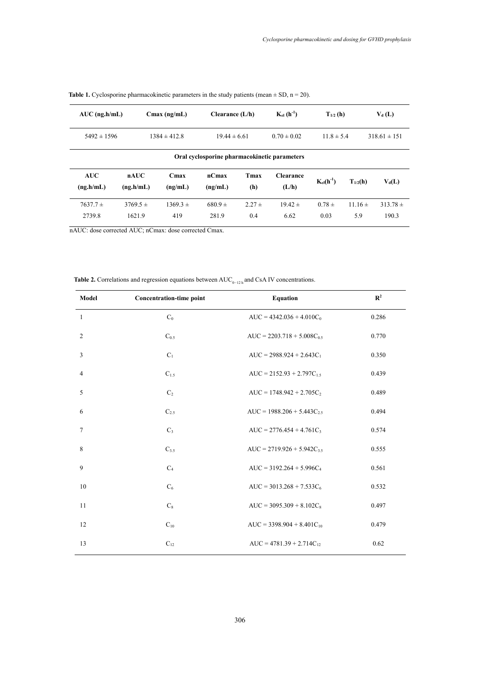| $AUC$ (ng.h/mL)                              |                        | $C$ max (ng/mL)             | Clearance $(L/h)$    |                   | $K_{el}$ (h <sup>-1</sup> ) | $T_{1/2}$ (h)      |                    | $V_d(L)$              |
|----------------------------------------------|------------------------|-----------------------------|----------------------|-------------------|-----------------------------|--------------------|--------------------|-----------------------|
| $5492 \pm 1596$<br>$1384 \pm 412.8$          |                        | $19.44 \pm 6.61$            |                      | $0.70 \pm 0.02$   | $11.8 \pm 5.4$              |                    | $318.61 \pm 151$   |                       |
| Oral cyclosporine pharmacokinetic parameters |                        |                             |                      |                   |                             |                    |                    |                       |
| <b>AUC</b><br>(ng.h/mL)                      | nAUC<br>(ng.h/mL)      | C <sub>max</sub><br>(ng/mL) | $nC$ max<br>(ng/mL)  | Tmax<br>(h)       | <b>Clearance</b><br>(L/h)   | $K_{el}(h^{-1})$   | $T_{1/2}$ (h)      | $V_d(L)$              |
| $7637.7 \pm$<br>2739.8                       | $3769.5 \pm$<br>1621.9 | $1369.3 \pm$<br>419         | $680.9 \pm$<br>281.9 | $2.27 \pm$<br>0.4 | $19.42 \pm$<br>6.62         | $0.78 \pm$<br>0.03 | $11.16 \pm$<br>5.9 | $313.78 \pm$<br>190.3 |

**Table 1.** Cyclosporine pharmacokinetic parameters in the study patients (mean  $\pm$  SD, n = 20).

nAUC: dose corrected AUC; nCmax: dose corrected Cmax.

Table 2. Correlations and regression equations between AUC<sub>0−12h</sub> and CsA IV concentrations.

| Model          | Concentration-time point | <b>Equation</b>                 | $\mathbb{R}^2$ |
|----------------|--------------------------|---------------------------------|----------------|
| $\mathbf{1}$   | $C_0$                    | $AUC = 4342.036 + 4.010C_0$     | 0.286          |
| 2              | $C_{0.5}$                | $AUC = 2203.718 + 5.008C_{0.5}$ | 0.770          |
| 3              | $C_1$                    | $AUC = 2988.924 + 2.643C_1$     | 0.350          |
| $\overline{4}$ | C <sub>15</sub>          | $AUC = 2152.93 + 2.797C_{15}$   | 0.439          |
| 5              | C <sub>2</sub>           | $AUC = 1748.942 + 2.705C_2$     | 0.489          |
| 6              | $C_{2.5}$                | $AUC = 1988.206 + 5.443C_{2.5}$ | 0.494          |
| 7              | $C_3$                    | $AUC = 2776.454 + 4.761C_3$     | 0.574          |
| 8              | $C_{3.5}$                | $AUC = 2719.926 + 5.942C_{35}$  | 0.555          |
| 9              | C <sub>4</sub>           | $AUC = 3192.264 + 5.996C_4$     | 0.561          |
| 10             | $C_6$                    | $AUC = 3013.268 + 7.533C_6$     | 0.532          |
| 11             | $C_8$                    | $AUC = 3095.309 + 8.102C_8$     | 0.497          |
| 12             | $C_{10}$                 | $AUC = 3398.904 + 8.401C_{10}$  | 0.479          |
| 13             | $C_{12}$                 | $AUC = 4781.39 + 2.714C_{12}$   | 0.62           |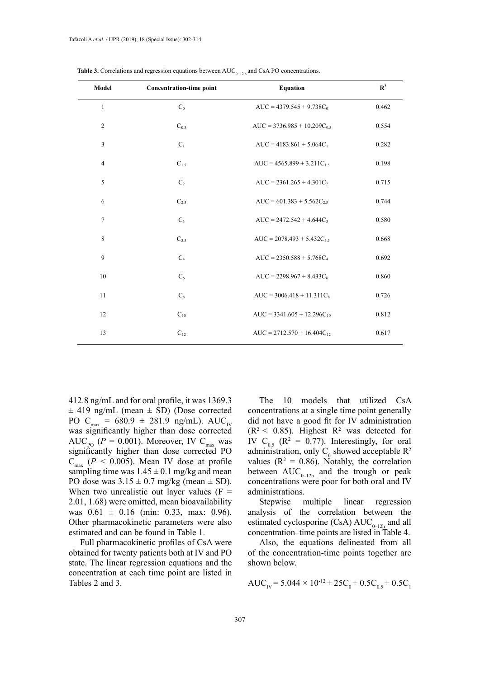| Model          | Concentration-time point | <b>Equation</b>                  | $\mathbf{R}^2$ |
|----------------|--------------------------|----------------------------------|----------------|
| $\mathbf{1}$   | $C_0$                    | $AUC = 4379.545 + 9.738C_0$      | 0.462          |
| $\overline{c}$ | $C_{0.5}$                | $AUC = 3736.985 + 10.209C_{0.5}$ | 0.554          |
| 3              | $C_1$                    | $AUC = 4183.861 + 5.064C_1$      | 0.282          |
| $\overline{4}$ | $C_{1.5}$                | AUC = $4565.899 + 3.211C_{1.5}$  | 0.198          |
| 5              | C <sub>2</sub>           | $AUC = 2361.265 + 4.301C_2$      | 0.715          |
| 6              | $C_{2.5}$                | $AUC = 601.383 + 5.562C_{2.5}$   | 0.744          |
| $\tau$         | $C_3$                    | $AUC = 2472.542 + 4.644C_3$      | 0.580          |
| 8              | $C_{3.5}$                | $AUC = 2078.493 + 5.432C_{3.5}$  | 0.668          |
| 9              | $C_4$                    | $AUC = 2350.588 + 5.768C_4$      | 0.692          |
| 10             | $C_6$                    | $AUC = 2298.967 + 8.433C_6$      | 0.860          |
| 11             | $C_8$                    | $AUC = 3006.418 + 11.311C_8$     | 0.726          |
| 12             | $C_{10}$                 | $AUC = 3341.605 + 12.296C_{10}$  | 0.812          |
| 13             | $C_{12}$                 | $AUC = 2712.570 + 16.404C_{12}$  | 0.617          |

Table 3. Correlations and regression equations between AUC<sub>0−12 h</sub> and CsA PO concentrations.

412.8 ng/mL and for oral profile, it was 1369.3  $\pm$  419 ng/mL (mean  $\pm$  SD) (Dose corrected PO C<sub>max</sub> = 680.9 ± 281.9 ng/mL). AUC<sub>IV</sub> was significantly higher than dose corrected AUC<sub>po</sub> ( $P = 0.001$ ). Moreover, IV C<sub>max</sub> was significantly higher than dose corrected PO  $C_{\text{max}}$  ( $P < 0.005$ ). Mean IV dose at profile sampling time was  $1.45 \pm 0.1$  mg/kg and mean PO dose was  $3.15 \pm 0.7$  mg/kg (mean  $\pm$  SD). When two unrealistic out layer values  $(F =$ 2.01, 1.68) were omitted, mean bioavailability was  $0.61 \pm 0.16$  (min: 0.33, max: 0.96). Other pharmacokinetic parameters were also estimated and can be found in Table 1.

Full pharmacokinetic profiles of CsA were obtained for twenty patients both at IV and PO state. The linear regression equations and the concentration at each time point are listed in Tables 2 and 3.

The 10 models that utilized CsA concentrations at a single time point generally did not have a good fit for IV administration  $(R<sup>2</sup> < 0.85)$ . Highest  $R<sup>2</sup>$  was detected for IV  $C_{0.5}$  ( $R^2 = 0.77$ ). Interestingly, for oral administration, only  $C_6$  showed acceptable  $R^2$ values ( $\mathbb{R}^2 = 0.86$ ). Notably, the correlation between  $AUC_{0-12h}$  and the trough or peak concentrations were poor for both oral and IV administrations.

Stepwise multiple linear regression analysis of the correlation between the estimated cyclosporine (CsA)  $AUC_{0-12h}$  and all concentration–time points are listed in Table 4.

Also, the equations delineated from all of the concentration-time points together are shown below.

$$
AUC_{IV} = 5.044 \times 10^{-12} + 25C_0 + 0.5C_{0.5} + 0.5C_1
$$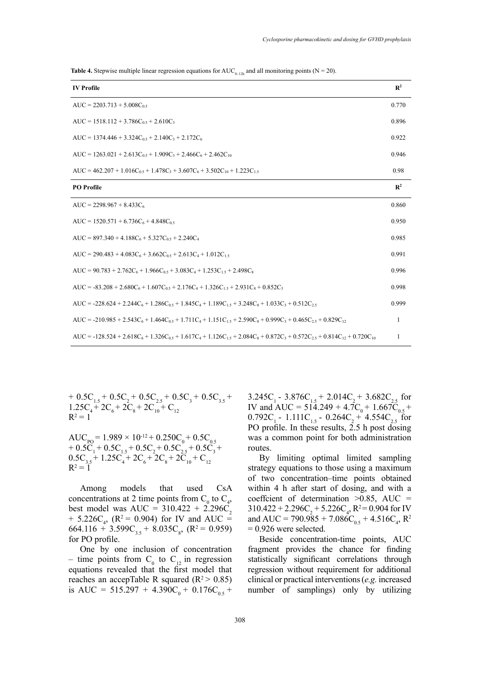**Table 4.** Stepwise multiple linear regression equations for  $AUC_{0-12h}$  and all monitoring points (N = 20).

| <b>IV</b> Profile                                                                                                         | $\mathbb{R}^2$ |
|---------------------------------------------------------------------------------------------------------------------------|----------------|
| $AUC = 2203.713 + 5.008C_{0.5}$                                                                                           | 0.770          |
| AUC = $1518.112 + 3.786C_0$ , + $2.610C_3$                                                                                | 0.896          |
| AUC = $1374.446 + 3.324C_{0.5} + 2.140C_3 + 2.172C_6$                                                                     | 0.922          |
| AUC = $1263.021 + 2.613C_0$ s + $1.909C_3 + 2.466C_6 + 2.462C_{10}$                                                       | 0.946          |
| AUC = $462.207 + 1.016C_0$ s + $1.478C_3 + 3.607C_6 + 3.502C_{10} + 1.223C_1$ s                                           | 0.98           |
| <b>PO</b> Profile                                                                                                         | $\mathbf{R}^2$ |
| $AUC = 2298.967 + 8.433C_6$                                                                                               | 0.860          |
| $AUC = 1520.571 + 6.736C_6 + 4.848C_0$                                                                                    | 0.950          |
| AUC = $897.340 + 4.188C_6 + 5.327C_0$ , + 2.240C <sub>4</sub>                                                             | 0.985          |
| AUC = 290.483 + 4.083C <sub>6</sub> + 3.662C <sub>0.5</sub> + 2.613C <sub>4</sub> + 1.012C <sub>1.5</sub>                 | 0.991          |
| AUC = $90.783 + 2.762C_6 + 1.966C_0$ s + $3.083C_4 + 1.253C_1$ s + $2.498C_8$                                             | 0.996          |
| $AUC = -83.208 + 2.680C_6 + 1.607C_{0.5} + 2.176C_4 + 1.326C_{1.5} + 2.931C_8 + 0.852C_3$                                 | 0.998          |
| $AUC = -228.624 + 2.244C_6 + 1.286C_{0.5} + 1.845C_4 + 1.189C_{1.5} + 3.248C_8 + 1.033C_3 + 0.512C_{2.5}$                 | 0.999          |
| $AUC = -210.985 + 2.543C_6 + 1.464C_0 + 1.711C_4 + 1.151C_1 + 2.590C_8 + 0.999C_3 + 0.465C_2 + 0.829C_{12}$               | 1              |
| $AUC = -128.524 + 2.618C_6 + 1.326C_0 + 1.617C_4 + 1.126C_1 + 2.084C_8 + 0.872C_3 + 0.572C_2 + 0.814C_{12} + 0.720C_{10}$ | 1              |

+  $0.5C_{1.5} + 0.5C_{2} + 0.5C_{2.5} + 0.5C_{3} + 0.5C_{3.5} +$  $1.25C_4 + 2C_6 + 2C_8 + 2C_{10} + C_{12}$  $R^2 = 1$  $\frac{1.5}{5C}$  + 2

 $AUC_{\text{p0}} = 1.989 \times 10^{-12} + 0.250C_0 + 0.5C_{0.5}$  $+ 0.5C_1 + 0.5C_{1.5} + 0.5C_2 + 0.5C_{2.5} + 0.5C_3 +$  $0.5C_{3.5} + 1.25C_4 + 2C_6 + 2C_8 + 2C_{10} + C_{12}$  $R^2 = 1$ 

Among models that used CsA concentrations at 2 time points from  $C_0$  to  $C_4$ , best model was AUC =  $310.422 + 2.296C_2$ + 5.226C<sub>4</sub>, (R<sup>2</sup> = 0.904) for IV and AUC =  $664.116 + 3.599C_{3.5} + 8.035C_{8}$ , (R<sup>2</sup> = 0.959) for PO profile.

One by one inclusion of concentration – time points from  $C_0$  to  $C_{12}$  in regression equations revealed that the first model that reaches an accepTable R squared  $(R^2 > 0.85)$ is AUC =  $515.297 + 4.390C_0 + 0.176C_{0.5} +$ 

 $3.245C_1 - 3.876C_{1.5} + 2.014C_2 + 3.682C_{2.5}$  for IV and AUC =  $51\overline{4}$ .249 +  $4.\overline{7}C_0 + 1.66\overline{7}\overline{C}_{0.5}$  + 0.792C<sub>1</sub> - 1.111C<sub>1.5</sub> - 0.264C<sub>2</sub> + 4.554C<sub>2</sub>, for PO profile. In these results,  $2.5$  h post dosing was a common point for both administration routes.

By limiting optimal limited sampling strategy equations to those using a maximum of two concentration–time points obtained within 4 h after start of dosing, and with a coeffcient of determination  $>0.85$ , AUC =  $310.422 + 2.296C_2 + 5.226C_4$ ,  $R^2 = 0.904$  for IV and AUC = 790.985 + 7.086C<sub>0.5</sub> + 4.516C<sub>4</sub>, R<sup>2</sup>  $= 0.926$  were selected.

Beside concentration-time points, AUC fragment provides the chance for finding statistically significant correlations through regression without requirement for additional clinical or practical interventions (*e.g.* increased number of samplings) only by utilizing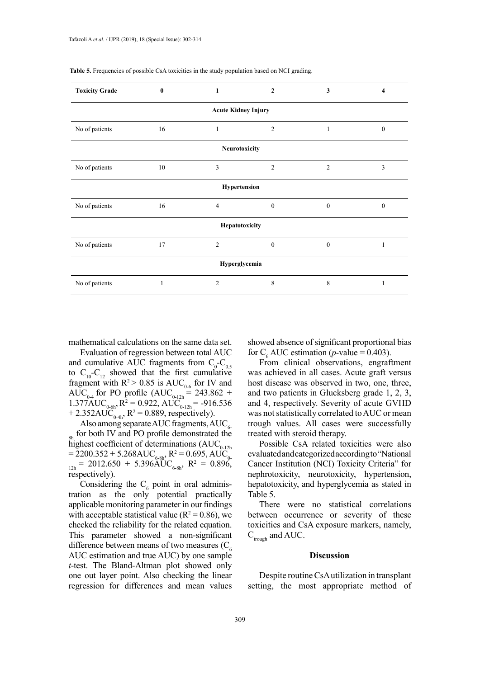| <b>Toxicity Grade</b>      | $\mathbf{0}$ | 1              | $\mathbf{2}$   | 3              | 4            |  |
|----------------------------|--------------|----------------|----------------|----------------|--------------|--|
| <b>Acute Kidney Injury</b> |              |                |                |                |              |  |
| No of patients             | 16           | $\mathbf{1}$   | $\overline{2}$ | 1              | $\mathbf{0}$ |  |
| Neurotoxicity              |              |                |                |                |              |  |
| No of patients             | 10           | 3              | $\overline{2}$ | $\overline{2}$ | 3            |  |
| Hypertension               |              |                |                |                |              |  |
| No of patients             | 16           | $\overline{4}$ | $\mathbf{0}$   | $\mathbf{0}$   | $\theta$     |  |
| Hepatotoxicity             |              |                |                |                |              |  |
| No of patients             | 17           | $\overline{2}$ | $\mathbf{0}$   | $\mathbf{0}$   | 1            |  |
| Hyperglycemia              |              |                |                |                |              |  |
| No of patients             | $\mathbf{1}$ | $\overline{2}$ | 8              | 8              | 1            |  |

**Table 5.** Frequencies of possible CsA toxicities in the study population based on NCI grading.

mathematical calculations on the same data set.

Evaluation of regression between total AUC and cumulative AUC fragments from  $C_0$ - $C_{0.5}$ to  $C_{10}-C_{12}$  showed that the first cumulative fragment with  $R^2 > 0.85$  is  $AUC_{0.6}$  for IV and AUC<sub>0-4</sub> for PO profile (AUC<sub>0-12h</sub> = 243.862 +  $1.377 \text{AUC}_{0.6h}$ ,  $R^2 = 0.922$ ,  $\text{AUC}_{0.12h} = -916.536$ + 2.352AUC<sub>0-4h</sub>,  $R^2 = 0.889$ , respectively).

Also among separate AUC fragments,  $AUC<sub>6</sub>$  $_{8h}$  for both IV and PO profile demonstrated the  $\frac{8h}{h}$  highest coefficient of determinations (AUC<sub>0-12h</sub>)  $= 2200.352 + 5.268 \text{AUC}_{6-8h}$ ,  $R^2 = 0.695$ , AUC<sub>0</sub>  $_{12h}$  = 2012.650 + 5.396AUC<sub>6-8h</sub>, R<sup>2</sup> = 0.896, respectively).

Considering the  $C_6$  point in oral administration as the only potential practically applicable monitoring parameter in our findings with acceptable statistical value ( $R^2 = 0.86$ ), we checked the reliability for the related equation. This parameter showed a non-significant difference between means of two measures  $(C_4)$ AUC estimation and true AUC) by one sample *t*-test. The Bland-Altman plot showed only one out layer point. Also checking the linear regression for differences and mean values

showed absence of significant proportional bias for C<sub>6</sub> AUC estimation (*p*-value = 0.403).

From clinical observations, engraftment was achieved in all cases. Acute graft versus host disease was observed in two, one, three, and two patients in Glucksberg grade 1, 2, 3, and 4, respectively. Severity of acute GVHD was not statistically correlated to AUC or mean trough values. All cases were successfully treated with steroid therapy.

Possible CsA related toxicities were also evaluated and categorized according to "National Cancer Institution (NCI) Toxicity Criteria" for nephrotoxicity, neurotoxicity, hypertension, hepatotoxicity, and hyperglycemia as stated in Table 5.

There were no statistical correlations between occurrence or severity of these toxicities and CsA exposure markers, namely,  $C_{\text{trough}}$  and AUC.

#### **Discussion**

Despite routine CsA utilization in transplant setting, the most appropriate method of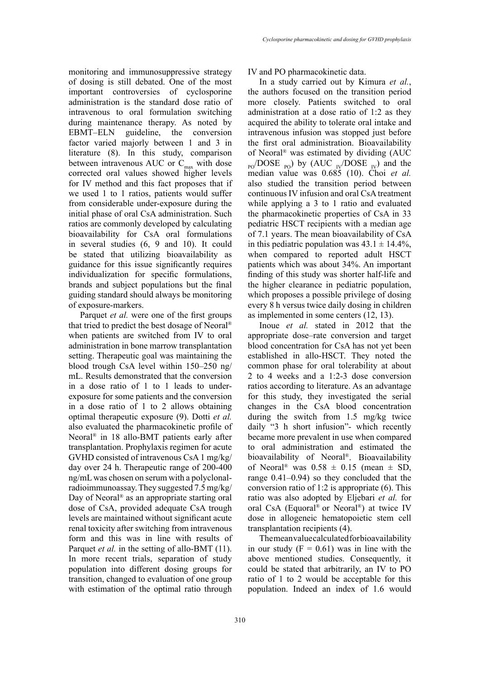monitoring and immunosuppressive strategy of dosing is still debated. One of the most important controversies of cyclosporine administration is the standard dose ratio of intravenous to oral formulation switching during maintenance therapy. As noted by EBMT–ELN guideline, the conversion factor varied majorly between 1 and 3 in literature (8). In this study, comparison between intravenous AUC or  $C_{\text{max}}$  with dose corrected oral values showed higher levels for IV method and this fact proposes that if we used 1 to 1 ratios, patients would suffer from considerable under-exposure during the initial phase of oral CsA administration. Such ratios are commonly developed by calculating bioavailability for CsA oral formulations in several studies (6, 9 and 10). It could be stated that utilizing bioavailability as guidance for this issue significantly requires individualization for specific formulations, brands and subject populations but the final guiding standard should always be monitoring of exposure-markers.

Parquet *et al.* were one of the first groups that tried to predict the best dosage of Neoral® when patients are switched from IV to oral administration in bone marrow transplantation setting. Therapeutic goal was maintaining the blood trough CsA level within 150–250 ng/ mL. Results demonstrated that the conversion in a dose ratio of 1 to 1 leads to underexposure for some patients and the conversion in a dose ratio of 1 to 2 allows obtaining optimal therapeutic exposure (9). Dotti *et al.* also evaluated the pharmacokinetic profile of Neoral® in 18 allo-BMT patients early after transplantation. Prophylaxis regimen for acute GVHD consisted of intravenous CsA 1 mg/kg/ day over 24 h. Therapeutic range of 200-400 ng/mL was chosen on serum with a polyclonalradioimmunoassay. They suggested 7.5 mg/kg/ Day of Neoral® as an appropriate starting oral dose of CsA, provided adequate CsA trough levels are maintained without significant acute renal toxicity after switching from intravenous form and this was in line with results of Parquet *et al.* in the setting of allo-BMT (11). In more recent trials, separation of study population into different dosing groups for transition, changed to evaluation of one group with estimation of the optimal ratio through

IV and PO pharmacokinetic data.

In a study carried out by Kimura *et al.*, the authors focused on the transition period more closely. Patients switched to oral administration at a dose ratio of 1:2 as they acquired the ability to tolerate oral intake and intravenous infusion was stopped just before the first oral administration. Bioavailability of Neoral® was estimated by dividing (AUC  $_{\text{po}}$ /DOSE <sub>PO</sub>) by (AUC <sub>IV</sub>/DOSE <sub>IV</sub>) and the median value was 0.685 (10). Choi *et al.* also studied the transition period between continuous IV infusion and oral CsA treatment while applying a 3 to 1 ratio and evaluated the pharmacokinetic properties of CsA in 33 pediatric HSCT recipients with a median age of 7.1 years. The mean bioavailability of CsA in this pediatric population was  $43.1 \pm 14.4\%$ , when compared to reported adult HSCT patients which was about 34%. An important finding of this study was shorter half-life and the higher clearance in pediatric population, which proposes a possible privilege of dosing every 8 h versus twice daily dosing in children as implemented in some centers (12, 13).

Inoue *et al.* stated in 2012 that the appropriate dose–rate conversion and target blood concentration for CsA has not yet been established in allo-HSCT. They noted the common phase for oral tolerability at about 2 to 4 weeks and a 1:2-3 dose conversion ratios according to literature. As an advantage for this study, they investigated the serial changes in the CsA blood concentration during the switch from 1.5 mg/kg twice daily "3 h short infusion"- which recently became more prevalent in use when compared to oral administration and estimated the bioavailability of Neoral®. Bioavailability of Neoral<sup>®</sup> was  $0.58 \pm 0.15$  (mean  $\pm$  SD, range 0.41–0.94) so they concluded that the conversion ratio of 1:2 is appropriate (6). This ratio was also adopted by Eljebari *et al.* for oral CsA (Equoral® or Neoral®) at twice IV dose in allogeneic hematopoietic stem cell transplantation recipients (4).

The mean value calculated for bioavailability in our study  $(F = 0.61)$  was in line with the above mentioned studies. Consequently, it could be stated that arbitrarily, an IV to PO ratio of 1 to 2 would be acceptable for this population. Indeed an index of 1.6 would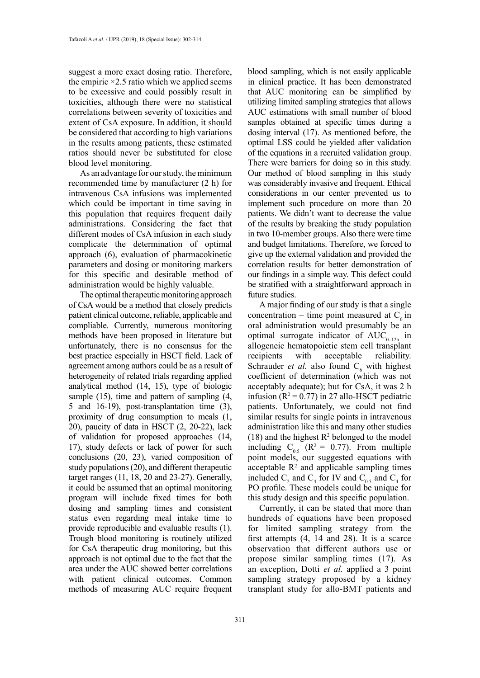suggest a more exact dosing ratio. Therefore, the empiric  $\times$ 2.5 ratio which we applied seems to be excessive and could possibly result in toxicities, although there were no statistical correlations between severity of toxicities and extent of CsA exposure. In addition, it should be considered that according to high variations in the results among patients, these estimated ratios should never be substituted for close blood level monitoring.

As an advantage for our study, the minimum recommended time by manufacturer (2 h) for intravenous CsA infusions was implemented which could be important in time saving in this population that requires frequent daily administrations. Considering the fact that different modes of CsA infusion in each study complicate the determination of optimal approach (6), evaluation of pharmacokinetic parameters and dosing or monitoring markers for this specific and desirable method of administration would be highly valuable.

The optimal therapeutic monitoring approach of CsA would be a method that closely predicts patient clinical outcome, reliable, applicable and compliable. Currently, numerous monitoring methods have been proposed in literature but unfortunately, there is no consensus for the best practice especially in HSCT field. Lack of agreement among authors could be as a result of heterogeneity of related trials regarding applied analytical method (14, 15), type of biologic sample (15), time and pattern of sampling (4, 5 and 16-19), post-transplantation time (3), proximity of drug consumption to meals (1, 20), paucity of data in HSCT (2, 20-22), lack of validation for proposed approaches (14, 17), study defects or lack of power for such conclusions (20, 23), varied composition of study populations (20), and different therapeutic target ranges (11, 18, 20 and 23-27). Generally, it could be assumed that an optimal monitoring program will include fixed times for both dosing and sampling times and consistent status even regarding meal intake time to provide reproducible and evaluable results (1). Trough blood monitoring is routinely utilized for CsA therapeutic drug monitoring, but this approach is not optimal due to the fact that the area under the AUC showed better correlations with patient clinical outcomes. Common methods of measuring AUC require frequent

blood sampling, which is not easily applicable in clinical practice. It has been demonstrated that AUC monitoring can be simplified by utilizing limited sampling strategies that allows AUC estimations with small number of blood samples obtained at specific times during a dosing interval (17). As mentioned before, the optimal LSS could be yielded after validation of the equations in a recruited validation group. There were barriers for doing so in this study. Our method of blood sampling in this study was considerably invasive and frequent. Ethical considerations in our center prevented us to implement such procedure on more than 20 patients. We didn't want to decrease the value of the results by breaking the study population in two 10-member groups. Also there were time and budget limitations. Therefore, we forced to give up the external validation and provided the correlation results for better demonstration of our findings in a simple way. This defect could be stratified with a straightforward approach in future studies.

A major finding of our study is that a single concentration – time point measured at  $C_{\epsilon}$  in oral administration would presumably be an optimal surrogate indicator of  $AUC_{0-12h}$  in allogeneic hematopoietic stem cell transplant recipients with acceptable reliability. Schrauder *et al.* also found  $C_6$  with highest coefficient of determination (which was not acceptably adequate); but for CsA, it was 2 h infusion ( $R^2 = 0.77$ ) in 27 allo-HSCT pediatric patients. Unfortunately, we could not find similar results for single points in intravenous administration like this and many other studies  $(18)$  and the highest  $R<sup>2</sup>$  belonged to the model including  $C_{0.5}$  ( $R^2 = 0.77$ ). From multiple point models, our suggested equations with acceptable  $\mathbb{R}^2$  and applicable sampling times included  $C_2$  and  $C_4$  for IV and  $C_{0.5}$  and  $C_4$  for PO profile. These models could be unique for this study design and this specific population.

Currently, it can be stated that more than hundreds of equations have been proposed for limited sampling strategy from the first attempts (4, 14 and 28). It is a scarce observation that different authors use or propose similar sampling times (17). As an exception, Dotti *et al.* applied a 3 point sampling strategy proposed by a kidney transplant study for allo-BMT patients and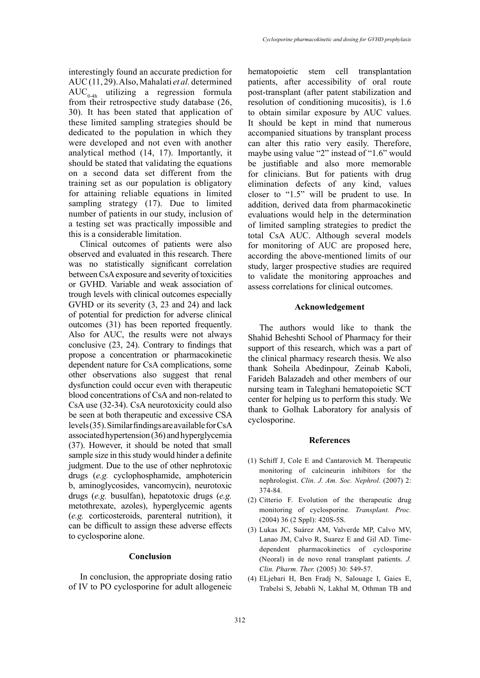interestingly found an accurate prediction for AUC (11, 29). Also, Mahalati *et al.* determined  $AUC_{0-4h}$  utilizing a regression formula from their retrospective study database (26, 30). It has been stated that application of these limited sampling strategies should be dedicated to the population in which they were developed and not even with another analytical method (14, 17). Importantly, it should be stated that validating the equations on a second data set different from the training set as our population is obligatory for attaining reliable equations in limited sampling strategy (17). Due to limited number of patients in our study, inclusion of a testing set was practically impossible and this is a considerable limitation.

Clinical outcomes of patients were also observed and evaluated in this research. There was no statistically significant correlation between CsA exposure and severity of toxicities or GVHD. Variable and weak association of trough levels with clinical outcomes especially GVHD or its severity (3, 23 and 24) and lack of potential for prediction for adverse clinical outcomes (31) has been reported frequently. Also for AUC, the results were not always conclusive (23, 24). Contrary to findings that propose a concentration or pharmacokinetic dependent nature for CsA complications, some other observations also suggest that renal dysfunction could occur even with therapeutic blood concentrations of CsA and non-related to CsA use (32-34). CsA neurotoxicity could also be seen at both therapeutic and excessive CSA levels (35). Similar findings are available for CsA associated hypertension (36) and hyperglycemia (37). However, it should be noted that small sample size in this study would hinder a definite judgment. Due to the use of other nephrotoxic drugs (*e.g.* cyclophosphamide, amphotericin b, aminoglycosides, vancomycin), neurotoxic drugs (*e.g.* busulfan), hepatotoxic drugs (*e.g.* metothrexate, azoles), hyperglycemic agents (*e.g.* corticosteroids, parenteral nutrition), it can be difficult to assign these adverse effects to cyclosporine alone.

# **Conclusion**

In conclusion, the appropriate dosing ratio of IV to PO cyclosporine for adult allogeneic hematopoietic stem cell transplantation patients, after accessibility of oral route post-transplant (after patent stabilization and resolution of conditioning mucositis), is 1.6 to obtain similar exposure by AUC values. It should be kept in mind that numerous accompanied situations by transplant process can alter this ratio very easily. Therefore, maybe using value "2" instead of "1.6" would be justifiable and also more memorable for clinicians. But for patients with drug elimination defects of any kind, values closer to "1.5" will be prudent to use. In addition, derived data from pharmacokinetic evaluations would help in the determination of limited sampling strategies to predict the total CsA AUC. Although several models for monitoring of AUC are proposed here, according the above-mentioned limits of our study, larger prospective studies are required to validate the monitoring approaches and assess correlations for clinical outcomes.

### **Acknowledgement**

The authors would like to thank the Shahid Beheshti School of Pharmacy for their support of this research, which was a part of the clinical pharmacy research thesis. We also thank Soheila Abedinpour, Zeinab Kaboli, Farideh Balazadeh and other members of our nursing team in Taleghani hematopoietic SCT center for helping us to perform this study. We thank to Golhak Laboratory for analysis of cyclosporine.

#### **References**

- (1) Schiff J, Cole E and Cantarovich M. Therapeutic monitoring of calcineurin inhibitors for the nephrologist. *Clin. J. Am. Soc. Nephrol.* (2007) 2: 374-84.
- (2) Citterio F. Evolution of the therapeutic drug monitoring of cyclosporine. *Transplant. Proc.* (2004) 36 (2 Sppl): 420S-5S.
- (3) Lukas JC, Suárez AM, Valverde MP, Calvo MV, Lanao JM, Calvo R, Suarez E and Gil AD. Timedependent pharmacokinetics of cyclosporine (Neoral) in de novo renal transplant patients. *J. Clin. Pharm. Ther.* (2005) 30: 549-57.
- (4) ELjebari H, Ben Fradj N, Salouage I, Gaies E, Trabelsi S, Jebabli N, Lakhal M, Othman TB and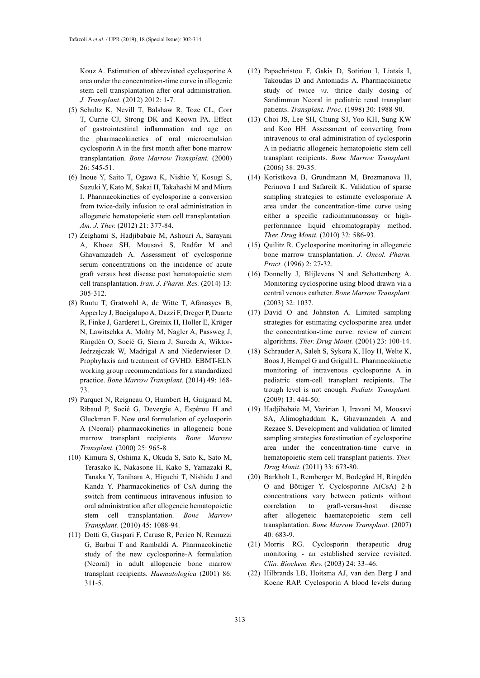Kouz A. Estimation of abbreviated cyclosporine A area under the concentration-time curve in allogenic stem cell transplantation after oral administration. *J. Transplant.* (2012) 2012: 1-7.

- (5) Schultz K, Nevill T, Balshaw R, Toze CL, Corr T, Currie CJ, Strong DK and Keown PA. Effect of gastrointestinal inflammation and age on the pharmacokinetics of oral microemulsion cyclosporin A in the first month after bone marrow transplantation. *Bone Marrow Transplant.* (2000) 26: 545-51.
- (6) Inoue Y, Saito T, Ogawa K, Nishio Y, Kosugi S, Suzuki Y, Kato M, Sakai H, Takahashi M and Miura I. Pharmacokinetics of cyclosporine a conversion from twice-daily infusion to oral administration in allogeneic hematopoietic stem cell transplantation. *Am. J. Ther.* (2012) 21: 377-84.
- (7) Zeighami S, Hadjibabaie M, Ashouri A, Sarayani A, Khoee SH, Mousavi S, Radfar M and Ghavamzadeh A. Assessment of cyclosporine serum concentrations on the incidence of acute graft versus host disease post hematopoietic stem cell transplantation. *Iran. J. Pharm. Res.* (2014) 13: 305-312.
- (8) Ruutu T, Gratwohl A, de Witte T, Afanasyev B, Apperley J, Bacigalupo A, Dazzi F, Dreger P, Duarte R, Finke J, Garderet L, Greinix H, Holler E, Kröger N, Lawitschka A, Mohty M, Nagler A, Passweg J, Ringdén O, Socié G, Sierra J, Sureda A, Wiktor-Jedrzejczak W, Madrigal A and Niederwieser D. Prophylaxis and treatment of GVHD: EBMT-ELN working group recommendations for a standardized practice. *Bone Marrow Transplant.* (2014) 49: 168- 73.
- (9) Parquet N, Reigneau O, Humbert H, Guignard M, Ribaud P, Socié G, Devergie A, Espérou H and Gluckman E. New oral formulation of cyclosporin A (Neoral) pharmacokinetics in allogeneic bone marrow transplant recipients. *Bone Marrow Transplant.* (2000) 25: 965-8.
- (10) Kimura S, Oshima K, Okuda S, Sato K, Sato M, Terasako K, Nakasone H, Kako S, Yamazaki R, Tanaka Y, Tanihara A, Higuchi T, Nishida J and Kanda Y. Pharmacokinetics of CsA during the switch from continuous intravenous infusion to oral administration after allogeneic hematopoietic stem cell transplantation. *Bone Marrow Transplant.* (2010) 45: 1088-94.
- (11) Dotti G, Gaspari F, Caruso R, Perico N, Remuzzi G, Barbui T and Rambaldi A. Pharmacokinetic study of the new cyclosporine-A formulation (Neoral) in adult allogeneic bone marrow transplant recipients. *Haematologica* (2001) 86: 311-5.
- (12) Papachristou F, Gakis D, Sotiriou I, Liatsis I, Takoudas D and Antoniadis A. Pharmacokinetic study of twice *vs.* thrice daily dosing of Sandimmun Neoral in pediatric renal transplant patients. *Transplant. Proc.* (1998) 30: 1988-90.
- (13) Choi JS, Lee SH, Chung SJ, Yoo KH, Sung KW and Koo HH. Assessment of converting from intravenous to oral administration of cyclosporin A in pediatric allogeneic hematopoietic stem cell transplant recipients. *Bone Marrow Transplant.* (2006) 38: 29-35.
- (14) Koristkova B, Grundmann M, Brozmanova H, Perinova I and Safarcik K. Validation of sparse sampling strategies to estimate cyclosporine A area under the concentration-time curve using either a specific radioimmunoassay or highperformance liquid chromatography method. *Ther. Drug Monit.* (2010) 32: 586-93.
- (15) Quilitz R. Cyclosporine monitoring in allogeneic bone marrow transplantation. *J. Oncol. Pharm. Pract.* (1996) 2: 27-32.
- (16) Donnelly J, Blijlevens N and Schattenberg A. Monitoring cyclosporine using blood drawn via a central venous catheter. *Bone Marrow Transplant.* (2003) 32: 1037.
- (17) David O and Johnston A. Limited sampling strategies for estimating cyclosporine area under the concentration-time curve: review of current algorithms. *Ther. Drug Monit.* (2001) 23: 100-14.
- (18) Schrauder A, Saleh S, Sykora K, Hoy H, Welte K, Boos J, Hempel G and Grigull L. Pharmacokinetic monitoring of intravenous cyclosporine A in pediatric stem-cell transplant recipients. The trough level is not enough. *Pediatr. Transplant.* (2009) 13: 444-50.
- (19) Hadjibabaie M, Vazirian I, Iravani M, Moosavi SA, Alimoghaddam K, Ghavamzadeh A and Rezaee S. Development and validation of limited sampling strategies forestimation of cyclosporine area under the concentration-time curve in hematopoietic stem cell transplant patients. *Ther. Drug Monit.* (2011) 33: 673-80.
- (20) Barkholt L, Remberger M, Bodegård H, Ringdén O and Böttiger Y. Cyclosporine A(CsA) 2-h concentrations vary between patients without correlation to graft-versus-host disease after allogeneic haematopoietic stem cell transplantation. *Bone Marrow Transplant.* (2007)  $40.683 - 9$
- (21) Morris RG. Cyclosporin therapeutic drug monitoring - an established service revisited. *Clin. Biochem. Rev.* (2003) 24: 33–46.
- (22) Hilbrands LB, Hoitsma AJ, van den Berg J and Koene RAP. Cyclosporin A blood levels during